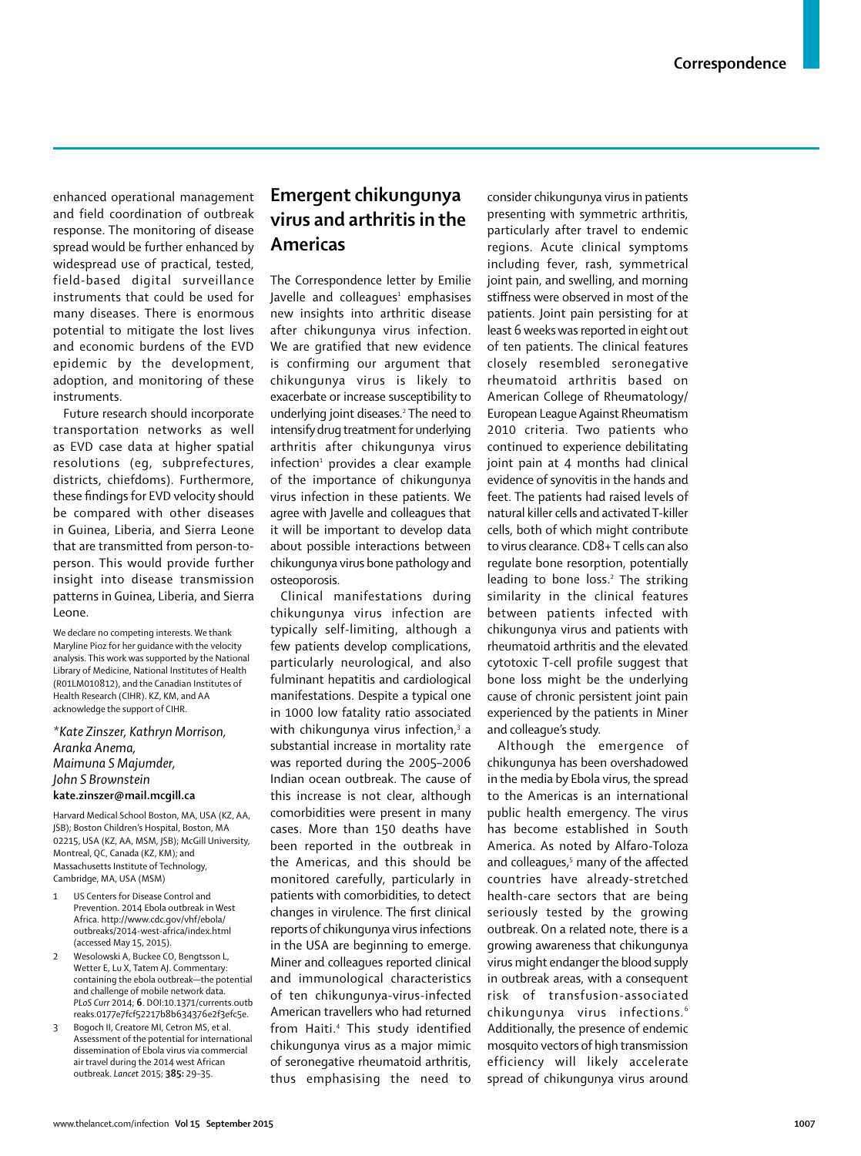enhanced operational management and field coordination of outbreak response. The monitoring of disease spread would be further enhanced by widespread use of practical, tested, field-based digital surveillance instruments that could be used for many diseases. There is enormous potential to mitigate the lost lives and economic burdens of the EVD epidemic by the development, adoption, and monitoring of these instruments.

Future research should incorporate transportation networks as well as EVD case data at higher spatial resolutions (eg, subprefectures, districts, chiefdoms). Furthermore, these findings for EVD velocity should be compared with other diseases in Guinea, Liberia, and Sierra Leone that are transmitted from person-toperson. This would provide further insight into disease transmission patterns in Guinea, Liberia, and Sierra Leone.

We declare no competing interests. We thank Maryline Pioz for her guidance with the velocity analysis. This work was supported by the National Library of Medicine, National Institutes of Health (R01LM010812), and the Canadian Institutes of Health Research (CIHR). KZ, KM, and AA acknowledge the support of CIHR.

*\*Kate Zinszer, Kathryn Morrison, Aranka Anema, Maimuna S Majumder, John S Brownstein* **kate.zinszer@mail.mcgill.ca** 

Harvard Medical School Boston, MA, USA (KZ, AA, JSB); Boston Children's Hospital, Boston, MA 02215, USA (KZ, AA, MSM, JSB); McGill University, Montreal, QC, Canada (KZ, KM); and Massachusetts Institute of Technology, Cambridge, MA, USA (MSM)

- 1 US Centers for Disease Control and Prevention. 2014 Ebola outbreak in West Africa. http://www.cdc.gov/vhf/ebola/ outbreaks/2014-west-africa/index.html (accessed May 15, 2015).
- 2 Wesolowski A, Buckee CO, Bengtsson L, Wetter E, Lu X, Tatem AJ. Commentary: containing the ebola outbreak—the potential and challenge of mobile network data. *PLoS Curr* 2014; **6**. DOI:10.1371/currents.outb reaks.0177e7fcf52217b8b634376e2f3efc5e.
- Bogoch II, Creatore MI, Cetron MS, et al. Assessment of the potential for international dissemination of Ebola virus via commercial air travel during the 2014 west African outbreak. *Lancet* 2015; **385:** 29–35.

## **Emergent chikungunya virus and arthritis in the Americas**

The Correspondence letter by Emilie Javelle and colleagues<del>'</del> emphasises new insights into arthritic disease after chikungunya virus infection. We are gratified that new evidence is confirming our argument that chikungunya virus is likely to exacerbate or increase susceptibility to underlying joint diseases.<sup>2</sup> The need to intensify drug treatment for underlying arthritis after chikungunya virus infection<sup>1</sup> provides a clear example of the importance of chikungunya virus infection in these patients. We agree with Javelle and colleagues that it will be important to develop data about possible interactions between chikungunya virus bone pathology and osteoporosis.

Clinical manifestations during chikungunya virus infection are typically self-limiting, although a few patients develop complications, particularly neurological, and also fulminant hepatitis and cardiological manifestations. Despite a typical one in 1000 low fatality ratio associated with chikungunya virus infection,<sup>3</sup> a substantial increase in mortality rate was reported during the 2005–2006 Indian ocean outbreak. The cause of this increase is not clear, although comorbidities were present in many cases. More than 150 deaths have been reported in the outbreak in the Americas, and this should be monitored carefully, particularly in patients with comorbidities, to detect changes in virulence. The first clinical reports of chikungunya virus infections in the USA are beginning to emerge. Miner and colleagues reported clinical and immunological characteristics of ten chikungunya-virus-infected American travellers who had returned from Haiti.<sup>4</sup> This study identified chikungunya virus as a major mimic of seronegative rheumatoid arthritis, thus emphasising the need to

consider chikungunya virus in patients presenting with symmetric arthritis, particularly after travel to endemic regions. Acute clinical symptoms including fever, rash, symmetrical joint pain, and swelling, and morning stiffness were observed in most of the patients. Joint pain persisting for at least 6 weeks was reported in eight out of ten patients. The clinical features closely resembled seronegative rheumatoid arthritis based on American College of Rheumatology/ European League Against Rheumatism 2010 criteria. Two patients who continued to experience debilitating joint pain at 4 months had clinical evidence of synovitis in the hands and feet. The patients had raised levels of natural killer cells and activated T-killer cells, both of which might contribute to virus clearance. CD8+ T cells can also regulate bone resorption, potentially leading to bone loss.<sup>2</sup> The striking similarity in the clinical features between patients infected with chikungunya virus and patients with rheumatoid arthritis and the elevated cytotoxic T-cell profile suggest that bone loss might be the underlying cause of chronic persistent joint pain experienced by the patients in Miner and colleague's study.

Although the emergence of chikungunya has been overshadowed in the media by Ebola virus, the spread to the Americas is an international public health emergency. The virus has become established in South America. As noted by Alfaro-Toloza and colleagues,<sup>5</sup> many of the affected countries have already-stretched health-care sectors that are being seriously tested by the growing outbreak. On a related note, there is a growing awareness that chikungunya virus might endanger the blood supply in outbreak areas, with a consequent risk of transfusion-associated chikungunya virus infections.<sup>6</sup> Additionally, the presence of endemic mosquito vectors of high transmission efficiency will likely accelerate spread of chikungunya virus around